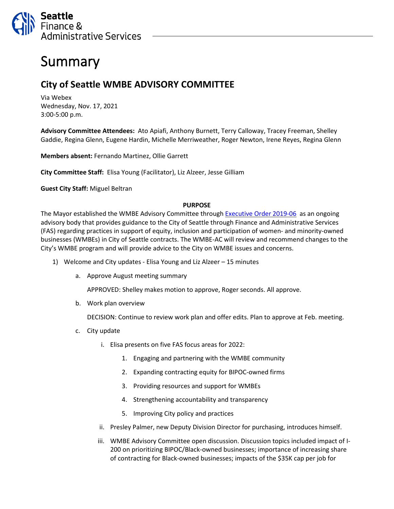

## Summary

## **City of Seattle WMBE ADVISORY COMMITTEE**

Via Webex Wednesday, Nov. 17, 2021 3:00-5:00 p.m.

**Advisory Committee Attendees:** Ato Apiafi, Anthony Burnett, Terry Calloway, Tracey Freeman, Shelley Gaddie, Regina Glenn, Eugene Hardin, Michelle Merriweather, Roger Newton, Irene Reyes, Regina Glenn

**Members absent:** Fernando Martinez, Ollie Garrett

**City Committee Staff:** Elisa Young (Facilitator), Liz Alzeer, Jesse Gilliam

**Guest City Staff:** Miguel Beltran

## **PURPOSE**

The Mayor established the WMBE Advisory Committee through [Executive Order](https://www.seattle.gov/Documents/Departments/FAS/PurchasingAndContracting/WMBE/Executive-Order-2019-06.pdf) 2019-06 as an ongoing advisory body that provides guidance to the City of Seattle through Finance and Administrative Services (FAS) regarding practices in support of equity, inclusion and participation of women- and minority-owned businesses (WMBEs) in City of Seattle contracts. The WMBE-AC will review and recommend changes to the City's WMBE program and will provide advice to the City on WMBE issues and concerns.

- 1) Welcome and City updates Elisa Young and Liz Alzeer 15 minutes
	- a. Approve August meeting summary

APPROVED: Shelley makes motion to approve, Roger seconds. All approve.

b. Work plan overview

DECISION: Continue to review work plan and offer edits. Plan to approve at Feb. meeting.

- c. City update
	- i. Elisa presents on five FAS focus areas for 2022:
		- 1. Engaging and partnering with the WMBE community
		- 2. Expanding contracting equity for BIPOC-owned firms
		- 3. Providing resources and support for WMBEs
		- 4. Strengthening accountability and transparency
		- 5. Improving City policy and practices
	- ii. Presley Palmer, new Deputy Division Director for purchasing, introduces himself.
	- iii. WMBE Advisory Committee open discussion. Discussion topics included impact of I-200 on prioritizing BIPOC/Black-owned businesses; importance of increasing share of contracting for Black-owned businesses; impacts of the \$35K cap per job for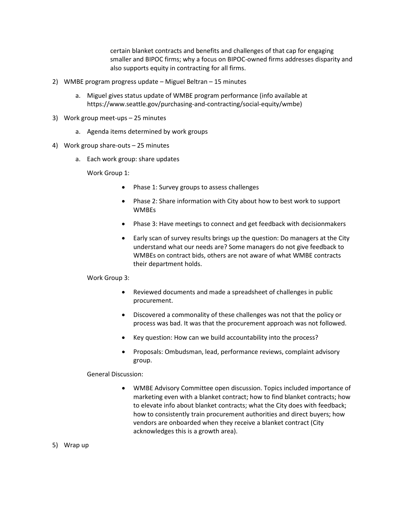certain blanket contracts and benefits and challenges of that cap for engaging smaller and BIPOC firms; why a focus on BIPOC-owned firms addresses disparity and also supports equity in contracting for all firms.

- 2) WMBE program progress update Miguel Beltran 15 minutes
	- a. Miguel gives status update of WMBE program performance (info available at https://www.seattle.gov/purchasing-and-contracting/social-equity/wmbe)
- 3) Work group meet-ups 25 minutes
	- a. Agenda items determined by work groups
- 4) Work group share-outs 25 minutes
	- a. Each work group: share updates

Work Group 1:

- Phase 1: Survey groups to assess challenges
- Phase 2: Share information with City about how to best work to support WMBEs
- Phase 3: Have meetings to connect and get feedback with decisionmakers
- Early scan of survey results brings up the question: Do managers at the City understand what our needs are? Some managers do not give feedback to WMBEs on contract bids, others are not aware of what WMBE contracts their department holds.

## Work Group 3:

- Reviewed documents and made a spreadsheet of challenges in public procurement.
- Discovered a commonality of these challenges was not that the policy or process was bad. It was that the procurement approach was not followed.
- Key question: How can we build accountability into the process?
- Proposals: Ombudsman, lead, performance reviews, complaint advisory group.

General Discussion:

- WMBE Advisory Committee open discussion. Topics included importance of marketing even with a blanket contract; how to find blanket contracts; how to elevate info about blanket contracts; what the City does with feedback; how to consistently train procurement authorities and direct buyers; how vendors are onboarded when they receive a blanket contract (City acknowledges this is a growth area).
- 5) Wrap up